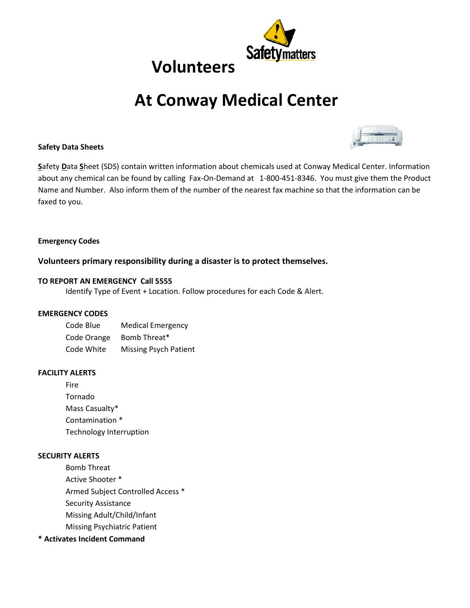

# **At Conway Medical Center**



## **Safety Data Sheets**

**S**afety **D**ata **S**heet (SDS) contain written information about chemicals used at Conway Medical Center. Information about any chemical can be found by calling Fax-On-Demand at 1-800-451-8346. You must give them the Product Name and Number. Also inform them of the number of the nearest fax machine so that the information can be faxed to you.

## **Emergency Codes**

## **Volunteers primary responsibility during a disaster is to protect themselves.**

## **TO REPORT AN EMERGENCY Call 5555**

Identify Type of Event + Location. Follow procedures for each Code & Alert.

## **EMERGENCY CODES**

| Code Blue   | <b>Medical Emergency</b>     |
|-------------|------------------------------|
| Code Orange | Bomb Threat*                 |
| Code White  | <b>Missing Psych Patient</b> |

## **FACILITY ALERTS**

Fire Tornado Mass Casualty\* Contamination \* Technology Interruption

## **SECURITY ALERTS**

Bomb Threat Active Shooter \* Armed Subject Controlled Access \* Security Assistance Missing Adult/Child/Infant Missing Psychiatric Patient

## **\* Activates Incident Command**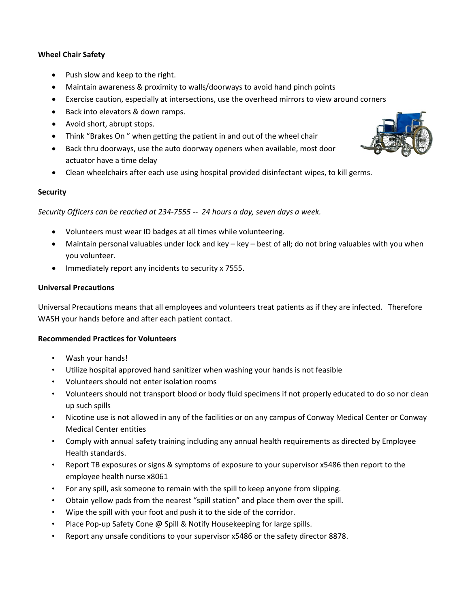## **Wheel Chair Safety**

- Push slow and keep to the right.
- Maintain awareness & proximity to walls/doorways to avoid hand pinch points
- Exercise caution, especially at intersections, use the overhead mirrors to view around corners
- Back into elevators & down ramps.
- Avoid short, abrupt stops.
- Think "Brakes On " when getting the patient in and out of the wheel chair
- Back thru doorways, use the auto doorway openers when available, most door actuator have a time delay
- Clean wheelchairs after each use using hospital provided disinfectant wipes, to kill germs.

## **Security**

*Security Officers can be reached at 234-7555 -- 24 hours a day, seven days a week.* 

- Volunteers must wear ID badges at all times while volunteering.
- Maintain personal valuables under lock and key key best of all; do not bring valuables with you when you volunteer.
- Immediately report any incidents to security x 7555.

## **Universal Precautions**

Universal Precautions means that all employees and volunteers treat patients as if they are infected. Therefore WASH your hands before and after each patient contact.

## **Recommended Practices for Volunteers**

- Wash your hands!
- Utilize hospital approved hand sanitizer when washing your hands is not feasible
- Volunteers should not enter isolation rooms
- Volunteers should not transport blood or body fluid specimens if not properly educated to do so nor clean up such spills
- Nicotine use is not allowed in any of the facilities or on any campus of Conway Medical Center or Conway Medical Center entities
- Comply with annual safety training including any annual health requirements as directed by Employee Health standards.
- Report TB exposures or signs & symptoms of exposure to your supervisor x5486 then report to the employee health nurse x8061
- For any spill, ask someone to remain with the spill to keep anyone from slipping.
- Obtain yellow pads from the nearest "spill station" and place them over the spill.
- Wipe the spill with your foot and push it to the side of the corridor.
- Place Pop-up Safety Cone @ Spill & Notify Housekeeping for large spills.
- Report any unsafe conditions to your supervisor x5486 or the safety director 8878.